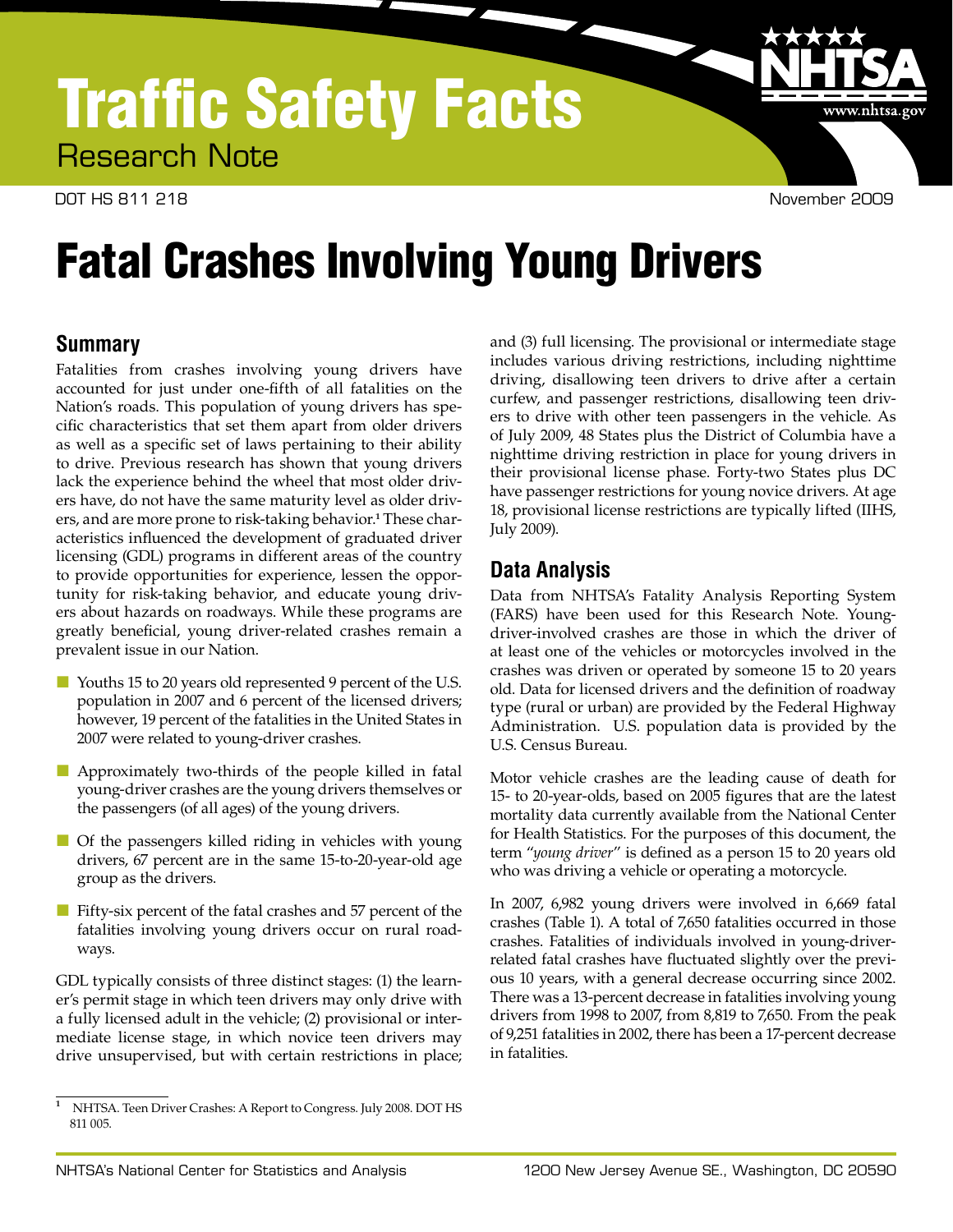## Traffic Safety Facts Research Note

DOT HS 811 218 November 2009

www.nhtsa.go

# Fatal Crashes Involving Young Drivers

## **Summary**

Fatalities from crashes involving young drivers have accounted for just under one-fifth of all fatalities on the Nation's roads. This population of young drivers has specific characteristics that set them apart from older drivers as well as a specific set of laws pertaining to their ability to drive. Previous research has shown that young drivers lack the experience behind the wheel that most older drivers have, do not have the same maturity level as older drivers, and are more prone to risk-taking behavior.**<sup>1</sup>** These characteristics influenced the development of graduated driver licensing (GDL) programs in different areas of the country to provide opportunities for experience, lessen the opportunity for risk-taking behavior, and educate young drivers about hazards on roadways. While these programs are greatly beneficial, young driver-related crashes remain a prevalent issue in our Nation.

- Youths 15 to 20 years old represented 9 percent of the U.S. population in 2007 and 6 percent of the licensed drivers; however, 19 percent of the fatalities in the United States in 2007 were related to young-driver crashes.
- Approximately two-thirds of the people killed in fatal young-driver crashes are the young drivers themselves or the passengers (of all ages) of the young drivers.
- Of the passengers killed riding in vehicles with young drivers, 67 percent are in the same 15-to-20-year-old age group as the drivers.
- **Fifty-six percent of the fatal crashes and 57 percent of the** fatalities involving young drivers occur on rural roadways.

GDL typically consists of three distinct stages: (1) the learner's permit stage in which teen drivers may only drive with a fully licensed adult in the vehicle; (2) provisional or intermediate license stage, in which novice teen drivers may drive unsupervised, but with certain restrictions in place;

and (3) full licensing. The provisional or intermediate stage includes various driving restrictions, including nighttime driving, disallowing teen drivers to drive after a certain curfew, and passenger restrictions, disallowing teen drivers to drive with other teen passengers in the vehicle. As of July 2009, 48 States plus the District of Columbia have a nighttime driving restriction in place for young drivers in their provisional license phase. Forty-two States plus DC have passenger restrictions for young novice drivers. At age 18, provisional license restrictions are typically lifted (IIHS, July 2009).

## **Data Analysis**

Data from NHTSA's Fatality Analysis Reporting System (FARS) have been used for this Research Note. Youngdriver-involved crashes are those in which the driver of at least one of the vehicles or motorcycles involved in the crashes was driven or operated by someone 15 to 20 years old. Data for licensed drivers and the definition of roadway type (rural or urban) are provided by the Federal Highway Administration. U.S. population data is provided by the U.S. Census Bureau.

Motor vehicle crashes are the leading cause of death for 15- to 20-year-olds, based on 2005 figures that are the latest mortality data currently available from the National Center for Health Statistics. For the purposes of this document, the term "*young driver*" is defined as a person 15 to 20 years old who was driving a vehicle or operating a motorcycle.

In 2007, 6,982 young drivers were involved in 6,669 fatal crashes (Table 1). A total of 7,650 fatalities occurred in those crashes. Fatalities of individuals involved in young-driverrelated fatal crashes have fluctuated slightly over the previous 10 years, with a general decrease occurring since 2002. There was a 13-percent decrease in fatalities involving young drivers from 1998 to 2007, from 8,819 to 7,650. From the peak of 9,251 fatalities in 2002, there has been a 17-percent decrease in fatalities.

**<sup>1</sup>**NHTSA. Teen Driver Crashes: A Report to Congress. July 2008. DOT HS 811 005.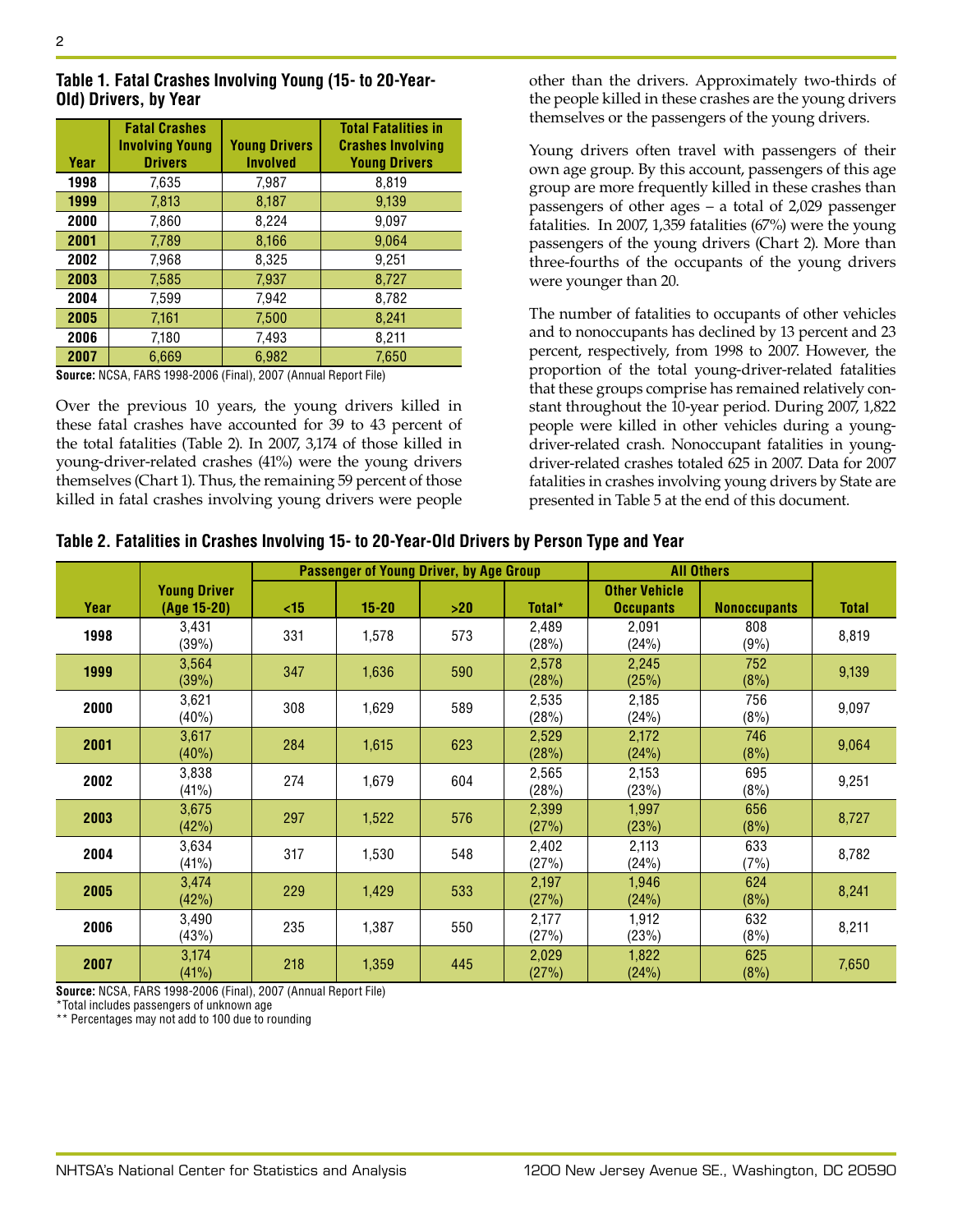| Table 1. Fatal Crashes Involving Young (15- to 20-Year- |  |  |
|---------------------------------------------------------|--|--|
| Old) Drivers, by Year                                   |  |  |

| Year | <b>Fatal Crashes</b><br><b>Involving Young</b><br><b>Drivers</b> | <b>Young Drivers</b><br><b>Involved</b> | <b>Total Fatalities in</b><br><b>Crashes Involving</b><br><b>Young Drivers</b> |
|------|------------------------------------------------------------------|-----------------------------------------|--------------------------------------------------------------------------------|
| 1998 | 7,635                                                            | 7,987                                   | 8,819                                                                          |
| 1999 | 7,813                                                            | 8,187                                   | 9,139                                                                          |
| 2000 | 7,860                                                            | 8,224                                   | 9,097                                                                          |
| 2001 | 7,789                                                            | 8,166                                   | 9.064                                                                          |
| 2002 | 7.968                                                            | 8,325                                   | 9,251                                                                          |
| 2003 | 7.585                                                            | 7,937                                   | 8,727                                                                          |
| 2004 | 7,599                                                            | 7,942                                   | 8,782                                                                          |
| 2005 | 7,161                                                            | 7,500                                   | 8,241                                                                          |
| 2006 | 7,180                                                            | 7,493                                   | 8,211                                                                          |
| 2007 | 6.669                                                            | 6,982                                   | 7,650                                                                          |

**Source:** NCSA, FARS 1998-2006 (Final), 2007 (Annual Report File)

Over the previous 10 years, the young drivers killed in these fatal crashes have accounted for 39 to 43 percent of the total fatalities (Table 2). In 2007, 3,174 of those killed in young-driver-related crashes (41%) were the young drivers themselves (Chart 1). Thus, the remaining 59 percent of those killed in fatal crashes involving young drivers were people other than the drivers. Approximately two-thirds of the people killed in these crashes are the young drivers themselves or the passengers of the young drivers.

Young drivers often travel with passengers of their own age group. By this account, passengers of this age group are more frequently killed in these crashes than passengers of other ages – a total of 2,029 passenger fatalities. In 2007, 1,359 fatalities (67%) were the young passengers of the young drivers (Chart 2). More than three-fourths of the occupants of the young drivers were younger than 20.

The number of fatalities to occupants of other vehicles and to nonoccupants has declined by 13 percent and 23 percent, respectively, from 1998 to 2007. However, the proportion of the total young-driver-related fatalities that these groups comprise has remained relatively constant throughout the 10-year period. During 2007, 1,822 people were killed in other vehicles during a youngdriver-related crash. Nonoccupant fatalities in youngdriver-related crashes totaled 625 in 2007. Data for 2007 fatalities in crashes involving young drivers by State are presented in Table 5 at the end of this document.

|      |                     | Passenger of Young Driver, by Age Group |           |     |                | <b>All Others</b>    |                     |              |
|------|---------------------|-----------------------------------------|-----------|-----|----------------|----------------------|---------------------|--------------|
|      | <b>Young Driver</b> |                                         |           |     |                | <b>Other Vehicle</b> |                     |              |
| Year | (Age 15-20)         | <15                                     | $15 - 20$ | >20 | Total*         | <b>Occupants</b>     | <b>Nonoccupants</b> | <b>Total</b> |
| 1998 | 3,431<br>(39%)      | 331                                     | 1,578     | 573 | 2,489<br>(28%) | 2,091<br>(24%)       | 808<br>(9%)         | 8,819        |
| 1999 | 3,564<br>(39%)      | 347                                     | 1,636     | 590 | 2,578<br>(28%) | 2,245<br>(25%)       | 752<br>(8%)         | 9,139        |
| 2000 | 3,621<br>(40%)      | 308                                     | 1,629     | 589 | 2,535<br>(28%) | 2,185<br>(24%)       | 756<br>(8%)         | 9,097        |
| 2001 | 3,617<br>(40%)      | 284                                     | 1,615     | 623 | 2,529<br>(28%) | 2,172<br>(24%)       | 746<br>(8%)         | 9,064        |
| 2002 | 3,838<br>(41%)      | 274                                     | 1,679     | 604 | 2,565<br>(28%) | 2,153<br>(23%)       | 695<br>(8%)         | 9,251        |
| 2003 | 3,675<br>(42%)      | 297                                     | 1,522     | 576 | 2,399<br>(27%) | 1,997<br>(23%)       | 656<br>(8%)         | 8,727        |
| 2004 | 3,634<br>(41%)      | 317                                     | 1,530     | 548 | 2,402<br>(27%) | 2,113<br>(24%)       | 633<br>(7%)         | 8,782        |
| 2005 | 3,474<br>(42%)      | 229                                     | 1,429     | 533 | 2,197<br>(27%) | 1,946<br>(24%)       | 624<br>(8%)         | 8,241        |
| 2006 | 3,490<br>(43%)      | 235                                     | 1,387     | 550 | 2,177<br>(27%) | 1,912<br>(23%)       | 632<br>(8%)         | 8,211        |
| 2007 | 3,174<br>(41%)      | 218                                     | 1,359     | 445 | 2,029<br>(27%) | 1,822<br>(24%)       | 625<br>(8%)         | 7,650        |

**Source:** NCSA, FARS 1998-2006 (Final), 2007 (Annual Report File)

\*Total includes passengers of unknown age

\*\* Percentages may not add to 100 due to rounding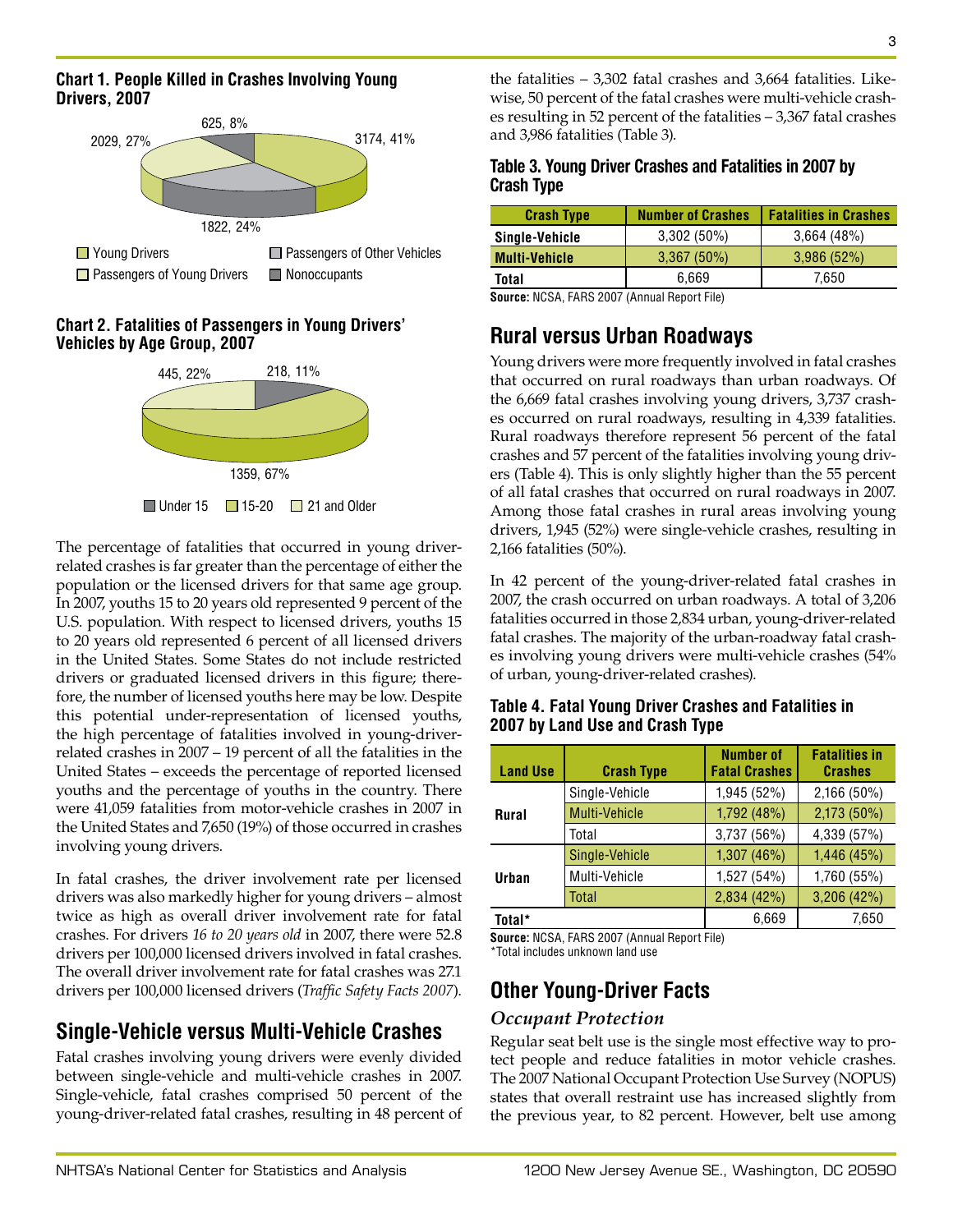#### **Chart 1. People Killed in Crashes Involving Young Drivers, 2007**



#### **Chart 2. Fatalities of Passengers in Young Drivers' Vehicles by Age Group, 2007**



The percentage of fatalities that occurred in young driverrelated crashes is far greater than the percentage of either the population or the licensed drivers for that same age group. In 2007, youths 15 to 20 years old represented 9 percent of the U.S. population. With respect to licensed drivers, youths 15 to 20 years old represented 6 percent of all licensed drivers in the United States. Some States do not include restricted drivers or graduated licensed drivers in this figure; therefore, the number of licensed youths here may be low. Despite this potential under-representation of licensed youths, the high percentage of fatalities involved in young-driverrelated crashes in 2007 – 19 percent of all the fatalities in the United States – exceeds the percentage of reported licensed youths and the percentage of youths in the country. There were 41,059 fatalities from motor-vehicle crashes in 2007 in the United States and 7,650 (19%) of those occurred in crashes involving young drivers.

In fatal crashes, the driver involvement rate per licensed drivers was also markedly higher for young drivers – almost twice as high as overall driver involvement rate for fatal crashes. For drivers *16 to 20 years old* in 2007, there were 52.8 drivers per 100,000 licensed drivers involved in fatal crashes. The overall driver involvement rate for fatal crashes was 27.1 drivers per 100,000 licensed drivers (*Traffic Safety Facts 2007*).

## **Single-Vehicle versus Multi-Vehicle Crashes**

Fatal crashes involving young drivers were evenly divided between single-vehicle and multi-vehicle crashes in 2007. Single-vehicle, fatal crashes comprised 50 percent of the young-driver-related fatal crashes, resulting in 48 percent of the fatalities – 3,302 fatal crashes and 3,664 fatalities. Likewise, 50 percent of the fatal crashes were multi-vehicle crashes resulting in 52 percent of the fatalities – 3,367 fatal crashes and 3,986 fatalities (Table 3).

#### **Table 3. Young Driver Crashes and Fatalities in 2007 by Crash Type**

| <b>Crash Type</b>    | <b>Number of Crashes</b> | <b>Fatalities in Crashes</b> |
|----------------------|--------------------------|------------------------------|
| Single-Vehicle       | $3,302(50\%)$            | 3,664(48%)                   |
| <b>Multi-Vehicle</b> | 3,367(50%)               | 3,986(52%)                   |
| Total                | 6.669                    | 7.650                        |

**Source:** NCSA, FARS 2007 (Annual Report File)

## **Rural versus Urban Roadways**

Young drivers were more frequently involved in fatal crashes that occurred on rural roadways than urban roadways. Of the 6,669 fatal crashes involving young drivers, 3,737 crashes occurred on rural roadways, resulting in 4,339 fatalities. Rural roadways therefore represent 56 percent of the fatal crashes and 57 percent of the fatalities involving young drivers (Table 4). This is only slightly higher than the 55 percent of all fatal crashes that occurred on rural roadways in 2007. Among those fatal crashes in rural areas involving young drivers, 1,945 (52%) were single-vehicle crashes, resulting in 2,166 fatalities (50%).

In 42 percent of the young-driver-related fatal crashes in 2007, the crash occurred on urban roadways. A total of 3,206 fatalities occurred in those 2,834 urban, young-driver-related fatal crashes. The majority of the urban-roadway fatal crashes involving young drivers were multi-vehicle crashes (54% of urban, young-driver-related crashes).

#### **Table 4. Fatal Young Driver Crashes and Fatalities in 2007 by Land Use and Crash Type**

| <b>Land Use</b> | <b>Crash Type</b> | <b>Number of</b><br><b>Fatal Crashes</b> | <b>Fatalities in</b><br><b>Crashes</b> |
|-----------------|-------------------|------------------------------------------|----------------------------------------|
|                 | Single-Vehicle    | 1,945 (52%)                              | 2,166 (50%)                            |
| <b>Rural</b>    | Multi-Vehicle     | 1,792 (48%)                              | 2,173 (50%)                            |
|                 | Total             | 3,737 (56%)                              | 4,339 (57%)                            |
|                 | Single-Vehicle    | 1,307(46%)                               | 1,446 (45%)                            |
| Urban           | Multi-Vehicle     | 1,527 (54%)                              | 1,760 (55%)                            |
|                 | Total             | 2,834 (42%)                              | 3,206 (42%)                            |
| Total*          |                   | 6.669                                    | 7.650                                  |

**Source:** NCSA, FARS 2007 (Annual Report File)

\*Total includes unknown land use

## **Other Young-Driver Facts**

#### *Occupant Protection*

Regular seat belt use is the single most effective way to protect people and reduce fatalities in motor vehicle crashes. The 2007 National Occupant Protection Use Survey (NOPUS) states that overall restraint use has increased slightly from the previous year, to 82 percent. However, belt use among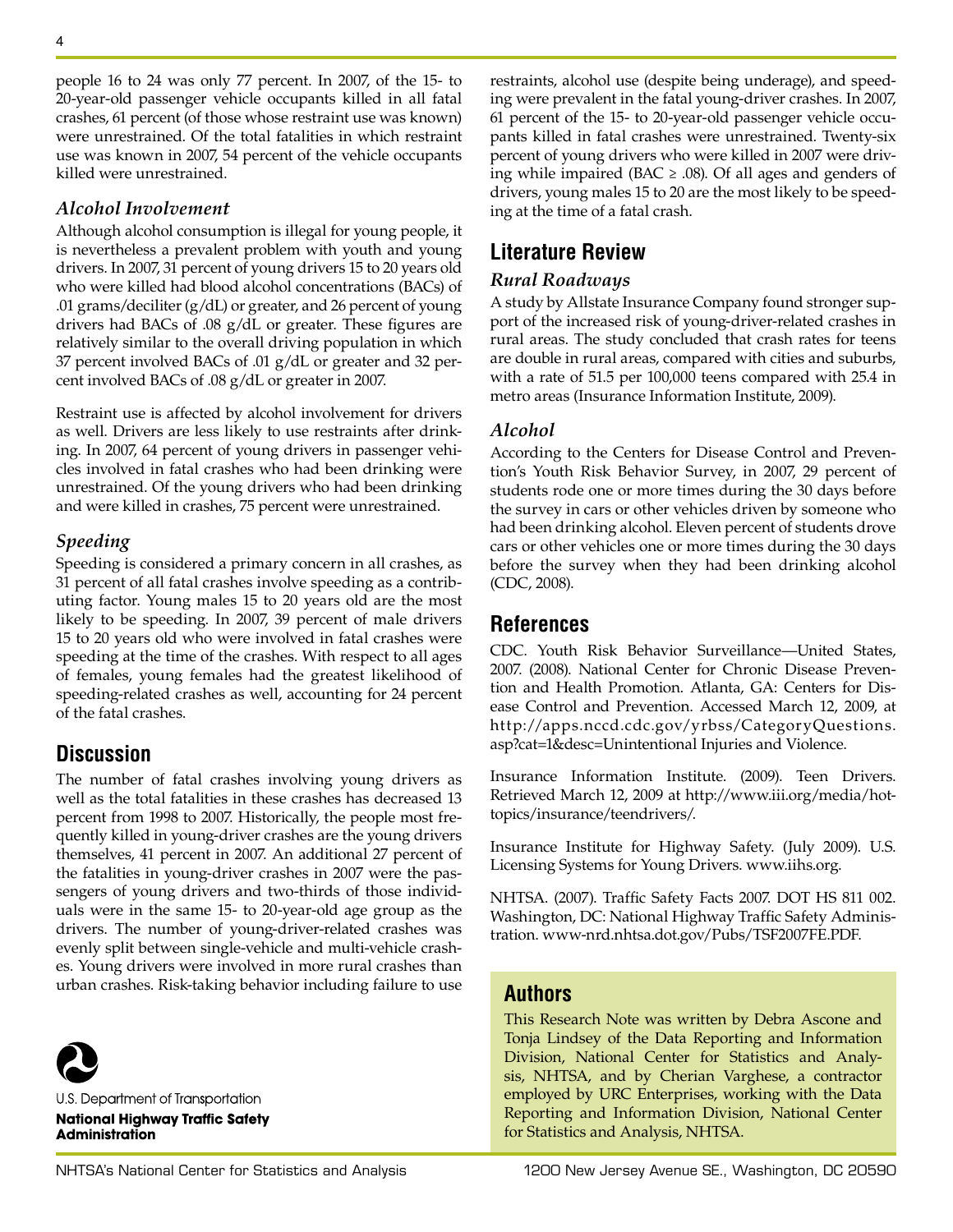people 16 to 24 was only 77 percent. In 2007, of the 15- to 20-year-old passenger vehicle occupants killed in all fatal crashes, 61 percent (of those whose restraint use was known) were unrestrained. Of the total fatalities in which restraint use was known in 2007, 54 percent of the vehicle occupants killed were unrestrained.

#### *Alcohol Involvement*

Although alcohol consumption is illegal for young people, it is nevertheless a prevalent problem with youth and young drivers. In 2007, 31 percent of young drivers 15 to 20 years old who were killed had blood alcohol concentrations (BACs) of .01 grams/deciliter (g/dL) or greater, and 26 percent of young drivers had BACs of .08 g/dL or greater. These figures are relatively similar to the overall driving population in which 37 percent involved BACs of .01 g/dL or greater and 32 percent involved BACs of .08 g/dL or greater in 2007.

Restraint use is affected by alcohol involvement for drivers as well. Drivers are less likely to use restraints after drinking. In 2007, 64 percent of young drivers in passenger vehicles involved in fatal crashes who had been drinking were unrestrained. Of the young drivers who had been drinking and were killed in crashes, 75 percent were unrestrained.

#### *Speeding*

Speeding is considered a primary concern in all crashes, as 31 percent of all fatal crashes involve speeding as a contributing factor. Young males 15 to 20 years old are the most likely to be speeding. In 2007, 39 percent of male drivers 15 to 20 years old who were involved in fatal crashes were speeding at the time of the crashes. With respect to all ages of females, young females had the greatest likelihood of speeding-related crashes as well, accounting for 24 percent of the fatal crashes.

## **Discussion**

The number of fatal crashes involving young drivers as well as the total fatalities in these crashes has decreased 13 percent from 1998 to 2007. Historically, the people most frequently killed in young-driver crashes are the young drivers themselves, 41 percent in 2007. An additional 27 percent of the fatalities in young-driver crashes in 2007 were the passengers of young drivers and two-thirds of those individuals were in the same 15- to 20-year-old age group as the drivers. The number of young-driver-related crashes was evenly split between single-vehicle and multi-vehicle crashes. Young drivers were involved in more rural crashes than urban crashes. Risk-taking behavior including failure to use



U.S. Department of Transportation **National Highway Traffic Safety Administration** 

restraints, alcohol use (despite being underage), and speeding were prevalent in the fatal young-driver crashes. In 2007, 61 percent of the 15- to 20-year-old passenger vehicle occupants killed in fatal crashes were unrestrained. Twenty-six percent of young drivers who were killed in 2007 were driving while impaired (BAC  $\ge$  .08). Of all ages and genders of drivers, young males 15 to 20 are the most likely to be speeding at the time of a fatal crash.

## **Literature Review**

#### *Rural Roadways*

A study by Allstate Insurance Company found stronger support of the increased risk of young-driver-related crashes in rural areas. The study concluded that crash rates for teens are double in rural areas, compared with cities and suburbs, with a rate of 51.5 per 100,000 teens compared with 25.4 in metro areas (Insurance Information Institute, 2009).

#### *Alcohol*

According to the Centers for Disease Control and Prevention's Youth Risk Behavior Survey, in 2007, 29 percent of students rode one or more times during the 30 days before the survey in cars or other vehicles driven by someone who had been drinking alcohol. Eleven percent of students drove cars or other vehicles one or more times during the 30 days before the survey when they had been drinking alcohol (CDC, 2008).

## **References**

CDC. Youth Risk Behavior Surveillance—United States, 2007. (2008). National Center for Chronic Disease Prevention and Health Promotion. Atlanta, GA: Centers for Disease Control and Prevention. Accessed March 12, 2009, at http://apps.nccd.cdc.gov/yrbss/CategoryQuestions. asp?cat=1&desc=Unintentional Injuries and Violence.

Insurance Information Institute. (2009). Teen Drivers. Retrieved March 12, 2009 at http://www.iii.org/media/hottopics/insurance/teendrivers/.

Insurance Institute for Highway Safety. (July 2009). U.S. Licensing Systems for Young Drivers. www.iihs.org.

NHTSA. (2007). Traffic Safety Facts 2007. DOT HS 811 002. Washington, DC: National Highway Traffic Safety Administration. www-nrd.nhtsa.dot.gov/Pubs/TSF2007FE.PDF.

## **Authors**

This Research Note was written by Debra Ascone and Tonja Lindsey of the Data Reporting and Information Division, National Center for Statistics and Analysis, NHTSA, and by Cherian Varghese, a contractor employed by URC Enterprises, working with the Data Reporting and Information Division, National Center for Statistics and Analysis, NHTSA.